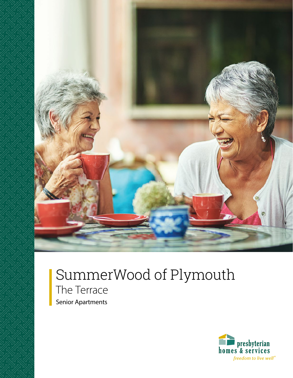

# SummerWood of Plymouth The Terrace Senior Apartments

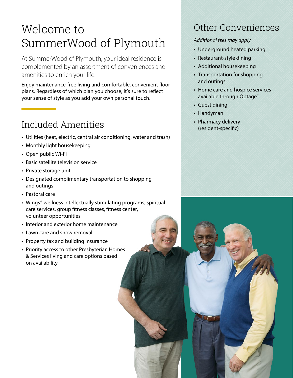# Welcome to SummerWood of Plymouth

At SummerWood of Plymouth, your ideal residence is complemented by an assortment of conveniences and amenities to enrich your life.

Enjoy maintenance-free living and comfortable, convenient floor plans. Regardless of which plan you choose, it's sure to reflect your sense of style as you add your own personal touch.

## Included Amenities

- Utilities (heat, electric, central air conditioning, water and trash)
- Monthly light housekeeping
- Open public Wi-Fi
- Basic satellite television service
- Private storage unit
- Designated complimentary transportation to shopping and outings
- Pastoral care
- Wings® wellness intellectually stimulating programs, spiritual care services, group fitness classes, fitness center, volunteer opportunities
- Interior and exterior home maintenance
- Lawn care and snow removal
- Property tax and building insurance
- Priority access to other Presbyterian Homes & Services living and care options based on availability

## Other Conveniences

#### *Additional fees may apply*

- Underground heated parking
- Restaurant-style dining
- Additional housekeeping
- Transportation for shopping and outings
- Home care and hospice services available through Optage®
- Guest dining
- Handyman
- Pharmacy delivery (resident-specific)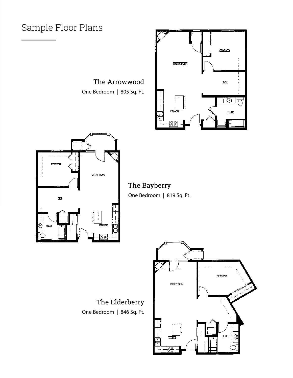### Sample Floor Plans

The Arrowwood One Bedroom | 805 Sq. Ft.





The Bayberry One Bedroom | 819 Sq. Ft.

The Elderberry One Bedroom | 846 Sq. Ft.

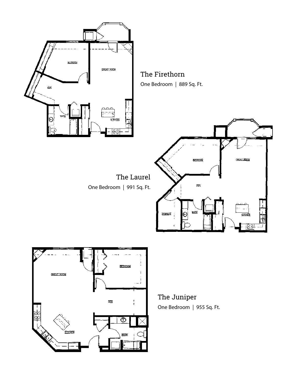



The Juniper One Bedroom | 955 Sq. Ft.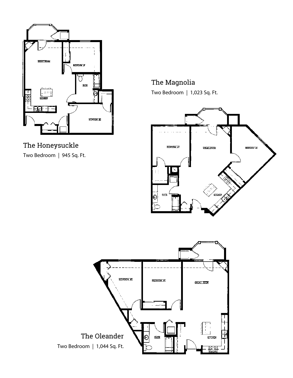

The Honeysuckle Two Bedroom | 945 Sq. Ft.

The Magnolia Two Bedroom | 1,023 Sq. Ft.



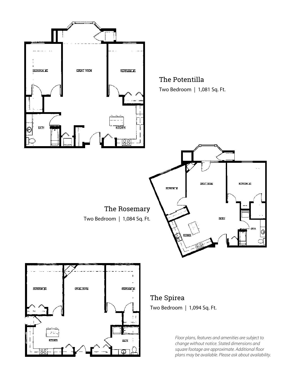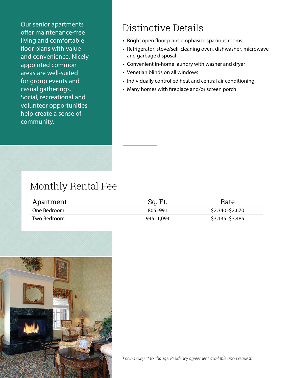Our senior apartments offer maintenance-free living and comfortable floor plans with value and convenience. Nicely appointed common areas are well-suited for group events and casual gatherings. Social, recreational and volunteer opportunities help create a sense of community.

## Distinctive Details

- Bright open floor plans emphasize spacious rooms
- Refrigerator, stove/self-cleaning oven, dishwasher, microwave and garbage disposal
- Convenient in-home laundry with washer and dryer
- Venetian blinds on all windows
- Individually controlled heat and central air conditioning
- Many homes with fireplace and/or screen porch

## Monthly Rental Fee

| Apartment   | Sq. Ft.   | Rate            |
|-------------|-----------|-----------------|
| One Bedroom | 805–991   | \$2,340–\$2,670 |
| Two Bedroom | 945–1.094 | \$3,135–\$3,485 |